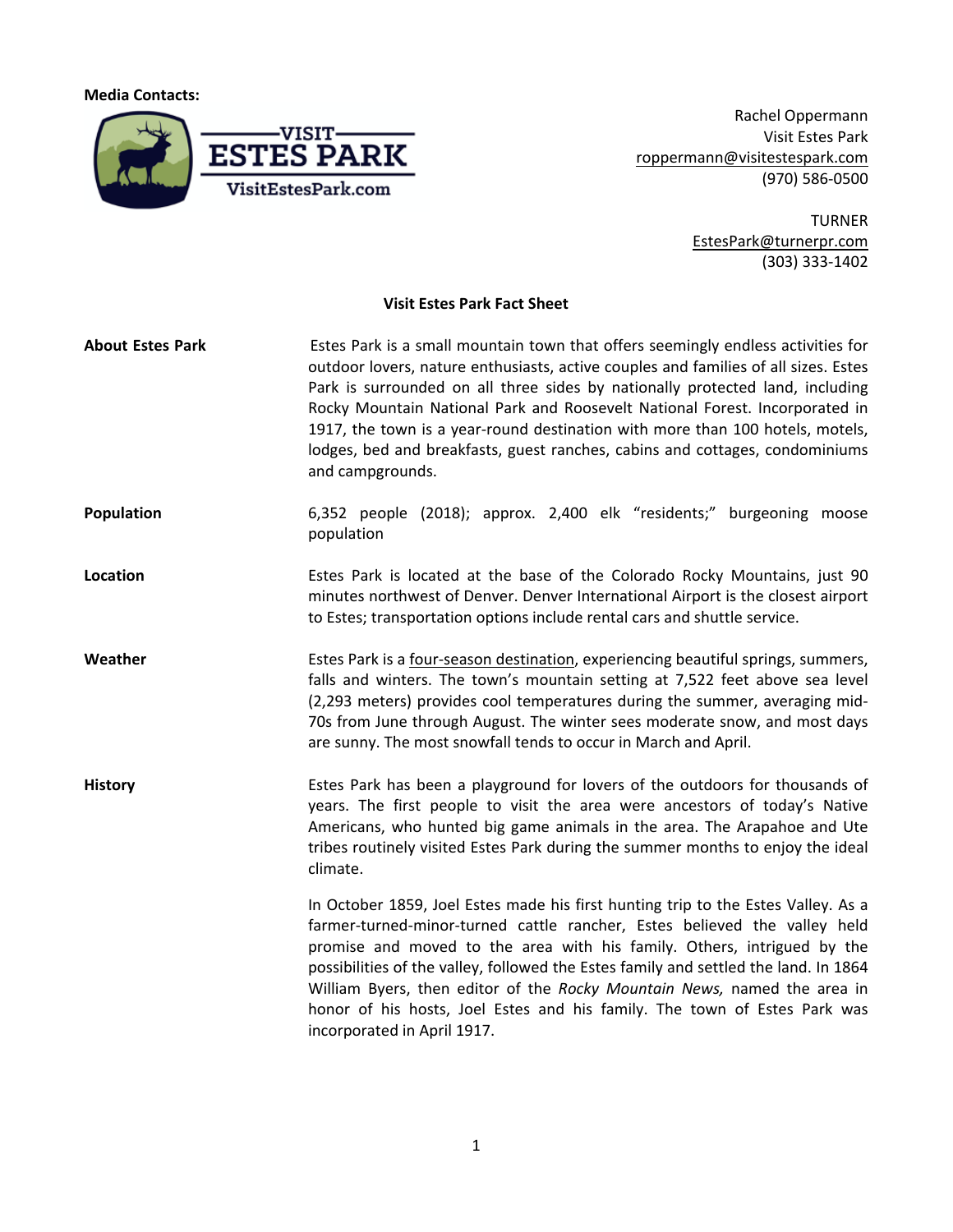**Media Contacts:**



Rachel Oppermann Visit Estes Park roppermann@visitestespark.com (970) 586-0500

> TURNER EstesPark@turnerpr.com (303) 333-1402

## **Visit Estes Park Fact Sheet**

| <b>About Estes Park</b> | Estes Park is a small mountain town that offers seemingly endless activities for<br>outdoor lovers, nature enthusiasts, active couples and families of all sizes. Estes<br>Park is surrounded on all three sides by nationally protected land, including<br>Rocky Mountain National Park and Roosevelt National Forest. Incorporated in<br>1917, the town is a year-round destination with more than 100 hotels, motels,<br>lodges, bed and breakfasts, guest ranches, cabins and cottages, condominiums<br>and campgrounds. |
|-------------------------|------------------------------------------------------------------------------------------------------------------------------------------------------------------------------------------------------------------------------------------------------------------------------------------------------------------------------------------------------------------------------------------------------------------------------------------------------------------------------------------------------------------------------|
| Population              | 6,352 people (2018); approx. 2,400 elk "residents;" burgeoning moose<br>population                                                                                                                                                                                                                                                                                                                                                                                                                                           |
| Location                | Estes Park is located at the base of the Colorado Rocky Mountains, just 90<br>minutes northwest of Denver. Denver International Airport is the closest airport<br>to Estes; transportation options include rental cars and shuttle service.                                                                                                                                                                                                                                                                                  |
| Weather                 | Estes Park is a four-season destination, experiencing beautiful springs, summers,<br>falls and winters. The town's mountain setting at 7,522 feet above sea level<br>(2,293 meters) provides cool temperatures during the summer, averaging mid-<br>70s from June through August. The winter sees moderate snow, and most days<br>are sunny. The most snowfall tends to occur in March and April.                                                                                                                            |
| <b>History</b>          | Estes Park has been a playground for lovers of the outdoors for thousands of<br>years. The first people to visit the area were ancestors of today's Native<br>Americans, who hunted big game animals in the area. The Arapahoe and Ute<br>tribes routinely visited Estes Park during the summer months to enjoy the ideal<br>climate.                                                                                                                                                                                        |
|                         | In October 1859, Joel Estes made his first hunting trip to the Estes Valley. As a<br>farmer-turned-minor-turned cattle rancher, Estes believed the valley held<br>promise and moved to the area with his family. Others, intrigued by the<br>possibilities of the valley, followed the Estes family and settled the land. In 1864<br>William Byers, then editor of the Rocky Mountain News, named the area in<br>honor of his hosts, Joel Estes and his family. The town of Estes Park was<br>incorporated in April 1917.    |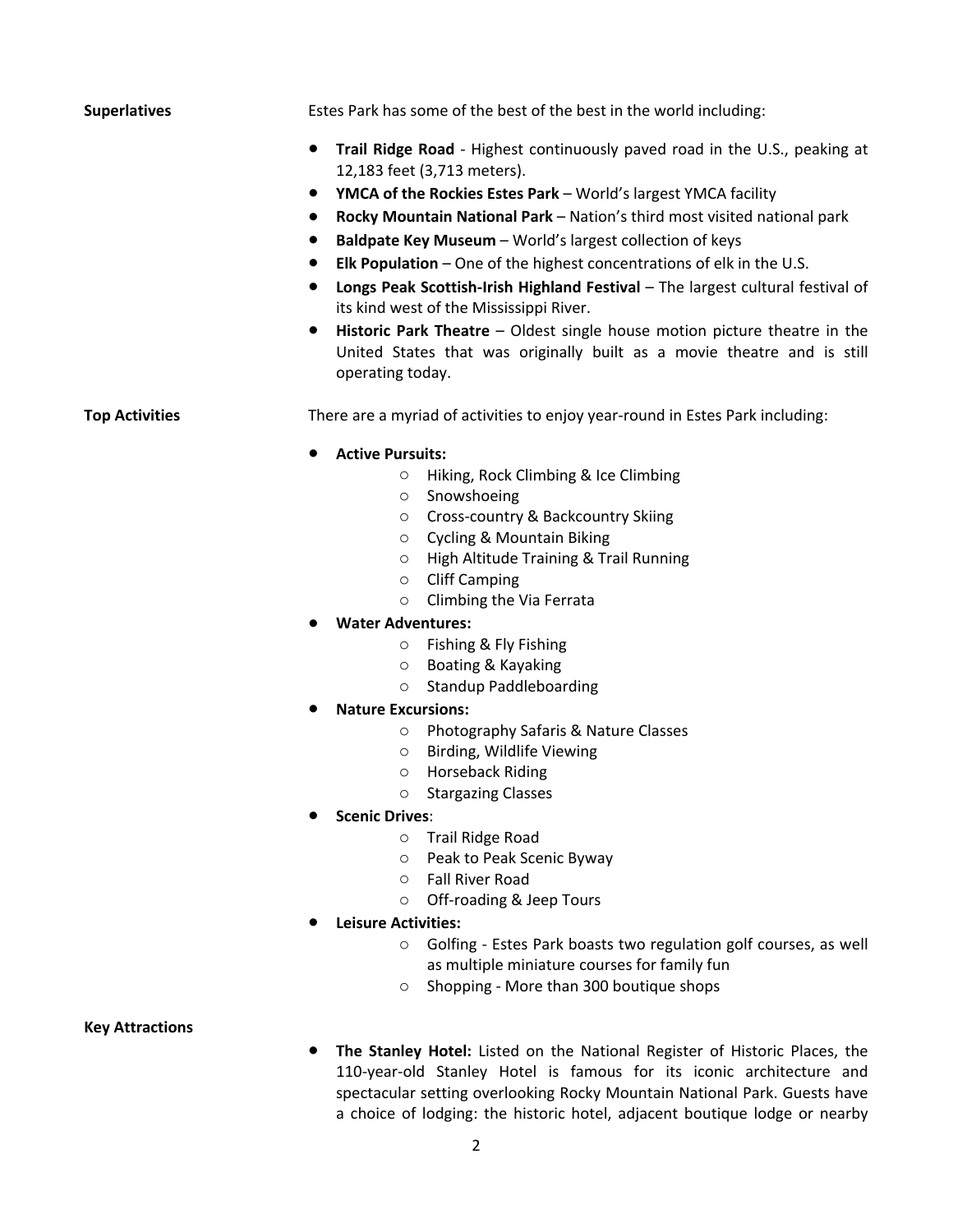**Superlatives** Estes Park has some of the best of the best in the world including:

- **Trail Ridge Road** Highest continuously paved road in the U.S., peaking at 12,183 feet (3,713 meters).
- **YMCA of the Rockies Estes Park** World's largest YMCA facility
- **Rocky Mountain National Park** Nation's third most visited national park
- **Baldpate Key Museum** World's largest collection of keys
- **Elk Population**  One of the highest concentrations of elk in the U.S.
- **Longs Peak Scottish-Irish Highland Festival The largest cultural festival of** its kind west of the Mississippi River.
- **Historic Park Theatre**  Oldest single house motion picture theatre in the United States that was originally built as a movie theatre and is still operating today.

**Top Activities** There are a myriad of activities to enjoy year-round in Estes Park including:

#### **Active Pursuits:**

- o Hiking, Rock Climbing & Ice Climbing
- o Snowshoeing
- o Cross-country & Backcountry Skiing
- o Cycling & Mountain Biking
- o High Altitude Training & Trail Running
- o Cliff Camping
- o Climbing the Via Ferrata
- **Water Adventures:** 
	- o Fishing & Fly Fishing
	- o Boating & Kayaking
	- o Standup Paddleboarding
- **Nature Excursions:**
	- o Photography Safaris & Nature Classes
	- o Birding, Wildlife Viewing
	- o Horseback Riding
	- o Stargazing Classes
- **Scenic Drives**:
	- o Trail Ridge Road
	- o Peak to Peak Scenic Byway
	- o Fall River Road
	- o Off-roading & Jeep Tours
- **Leisure Activities:** 
	- o Golfing Estes Park boasts two regulation golf courses, as well as multiple miniature courses for family fun
	- o Shopping More than 300 boutique shops

## **Key Attractions**

● **The Stanley Hotel:** Listed on the National Register of Historic Places, the 110-year-old Stanley Hotel is famous for its iconic architecture and spectacular setting overlooking Rocky Mountain National Park. Guests have a choice of lodging: the historic hotel, adjacent boutique lodge or nearby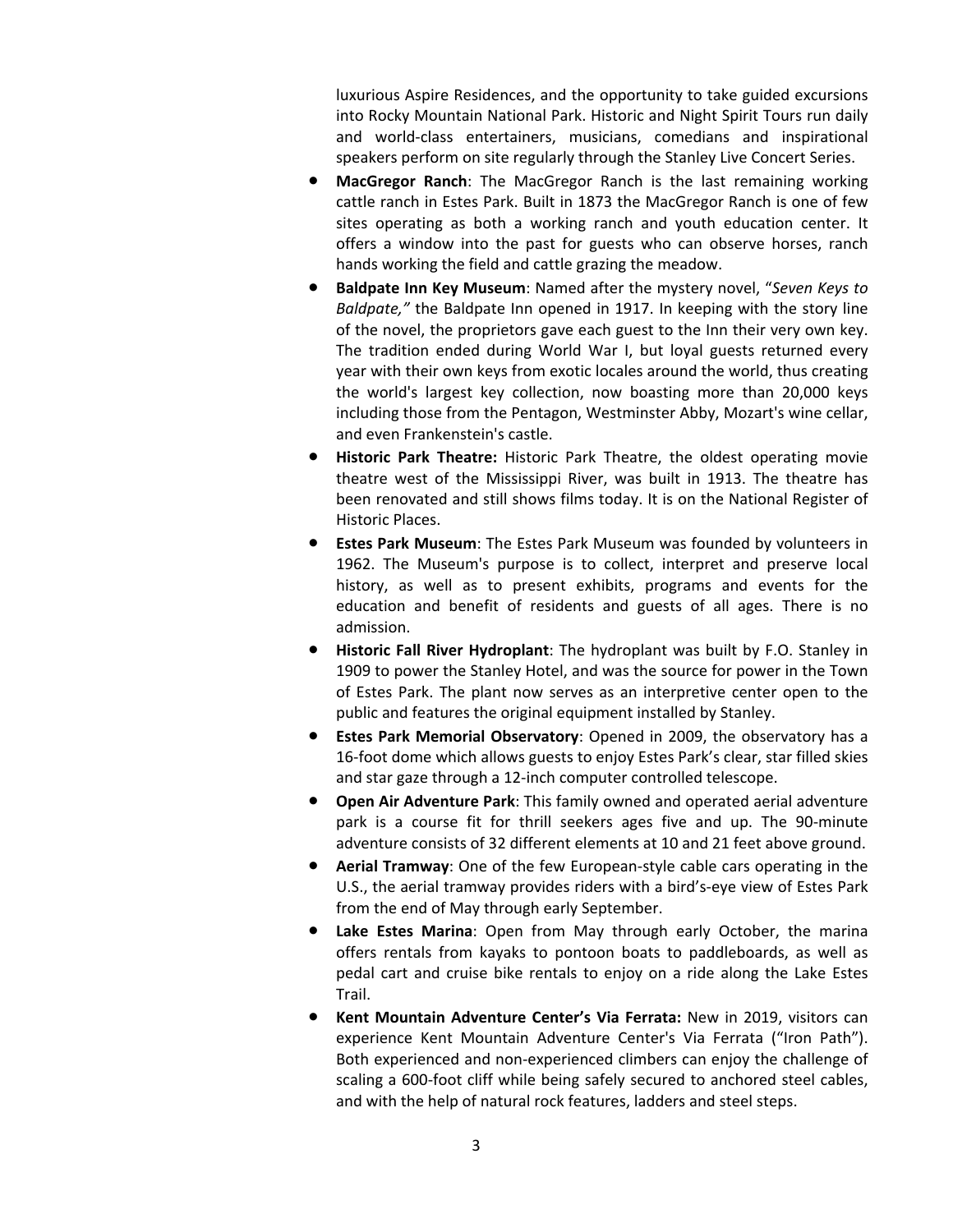luxurious Aspire Residences, and the opportunity to take guided excursions into Rocky Mountain National Park. Historic and Night Spirit Tours run daily and world-class entertainers, musicians, comedians and inspirational speakers perform on site regularly through the Stanley Live Concert Series.

- **MacGregor Ranch:** The MacGregor Ranch is the last remaining working cattle ranch in Estes Park. Built in 1873 the MacGregor Ranch is one of few sites operating as both a working ranch and youth education center. It offers a window into the past for guests who can observe horses, ranch hands working the field and cattle grazing the meadow.
- **Baldpate Inn Key Museum**: Named after the mystery novel, "*Seven Keys to Baldpate,"* the Baldpate Inn opened in 1917. In keeping with the story line of the novel, the proprietors gave each guest to the Inn their very own key. The tradition ended during World War I, but loyal guests returned every year with their own keys from exotic locales around the world, thus creating the world's largest key collection, now boasting more than 20,000 keys including those from the Pentagon, Westminster Abby, Mozart's wine cellar, and even Frankenstein's castle.
- **Historic Park Theatre:** Historic Park Theatre, the oldest operating movie theatre west of the Mississippi River, was built in 1913. The theatre has been renovated and still shows films today. It is on the National Register of Historic Places.
- **Estes Park Museum:** The Estes Park Museum was founded by volunteers in 1962. The Museum's purpose is to collect, interpret and preserve local history, as well as to present exhibits, programs and events for the education and benefit of residents and guests of all ages. There is no admission.
- **Historic Fall River Hydroplant**: The hydroplant was built by F.O. Stanley in 1909 to power the Stanley Hotel, and was the source for power in the Town of Estes Park. The plant now serves as an interpretive center open to the public and features the original equipment installed by Stanley.
- **Estes Park Memorial Observatory**: Opened in 2009, the observatory has a 16-foot dome which allows guests to enjoy Estes Park's clear, star filled skies and star gaze through a 12-inch computer controlled telescope.
- **Open Air Adventure Park**: This family owned and operated aerial adventure park is a course fit for thrill seekers ages five and up. The 90-minute adventure consists of 32 different elements at 10 and 21 feet above ground.
- **Aerial Tramway**: One of the few European-style cable cars operating in the U.S., the aerial tramway provides riders with a bird's-eye view of Estes Park from the end of May through early September.
- Lake Estes Marina: Open from May through early October, the marina offers rentals from kayaks to pontoon boats to paddleboards, as well as pedal cart and cruise bike rentals to enjoy on a ride along the Lake Estes Trail.
- Kent Mountain Adventure Center's Via Ferrata: New in 2019, visitors can experience Kent Mountain Adventure Center's Via Ferrata ("Iron Path"). Both experienced and non-experienced climbers can enjoy the challenge of scaling a 600-foot cliff while being safely secured to anchored steel cables, and with the help of natural rock features, ladders and steel steps.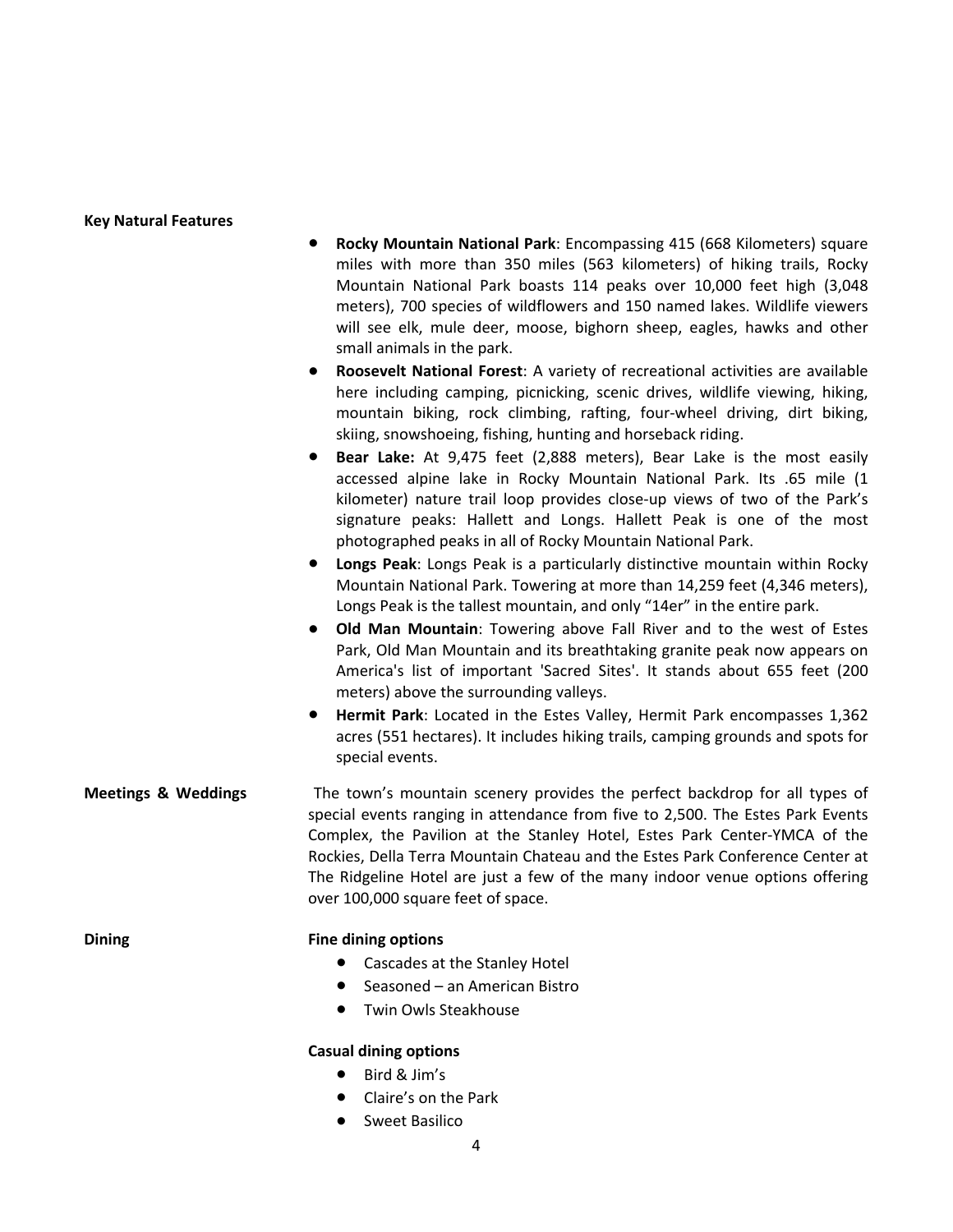#### **Key Natural Features**

- **Rocky Mountain National Park**: Encompassing 415 (668 Kilometers) square miles with more than 350 miles (563 kilometers) of hiking trails, Rocky Mountain National Park boasts 114 peaks over 10,000 feet high (3,048 meters), 700 species of wildflowers and 150 named lakes. Wildlife viewers will see elk, mule deer, moose, bighorn sheep, eagles, hawks and other small animals in the park.
- **Roosevelt National Forest**: A variety of recreational activities are available here including camping, picnicking, scenic drives, wildlife viewing, hiking, mountain biking, rock climbing, rafting, four-wheel driving, dirt biking, skiing, snowshoeing, fishing, hunting and horseback riding.
- **Bear Lake:** At 9,475 feet (2,888 meters), Bear Lake is the most easily accessed alpine lake in Rocky Mountain National Park. Its .65 mile (1 kilometer) nature trail loop provides close-up views of two of the Park's signature peaks: Hallett and Longs. Hallett Peak is one of the most photographed peaks in all of Rocky Mountain National Park.
- **Longs Peak**: Longs Peak is a particularly distinctive mountain within Rocky Mountain National Park. Towering at more than 14,259 feet (4,346 meters), Longs Peak is the tallest mountain, and only "14er" in the entire park.
- **Old Man Mountain**: Towering above Fall River and to the west of Estes Park, Old Man Mountain and its breathtaking granite peak now appears on America's list of important 'Sacred Sites'. It stands about 655 feet (200 meters) above the surrounding valleys.
- **Hermit Park**: Located in the Estes Valley, Hermit Park encompasses 1,362 acres (551 hectares). It includes hiking trails, camping grounds and spots for special events.
- **Meetings & Weddings** The town's mountain scenery provides the perfect backdrop for all types of special events ranging in attendance from five to 2,500. The Estes Park Events Complex, the Pavilion at the Stanley Hotel, Estes Park Center-YMCA of the Rockies, Della Terra Mountain Chateau and the Estes Park Conference Center at The Ridgeline Hotel are just a few of the many indoor venue options offering over 100,000 square feet of space.

### **Dining Fine dining options**

- Cascades at the Stanley Hotel
- Seasoned an American Bistro
- **Twin Owls Steakhouse**

### **Casual dining options**

- Bird & Jim's
- Claire's on the Park
- Sweet Basilico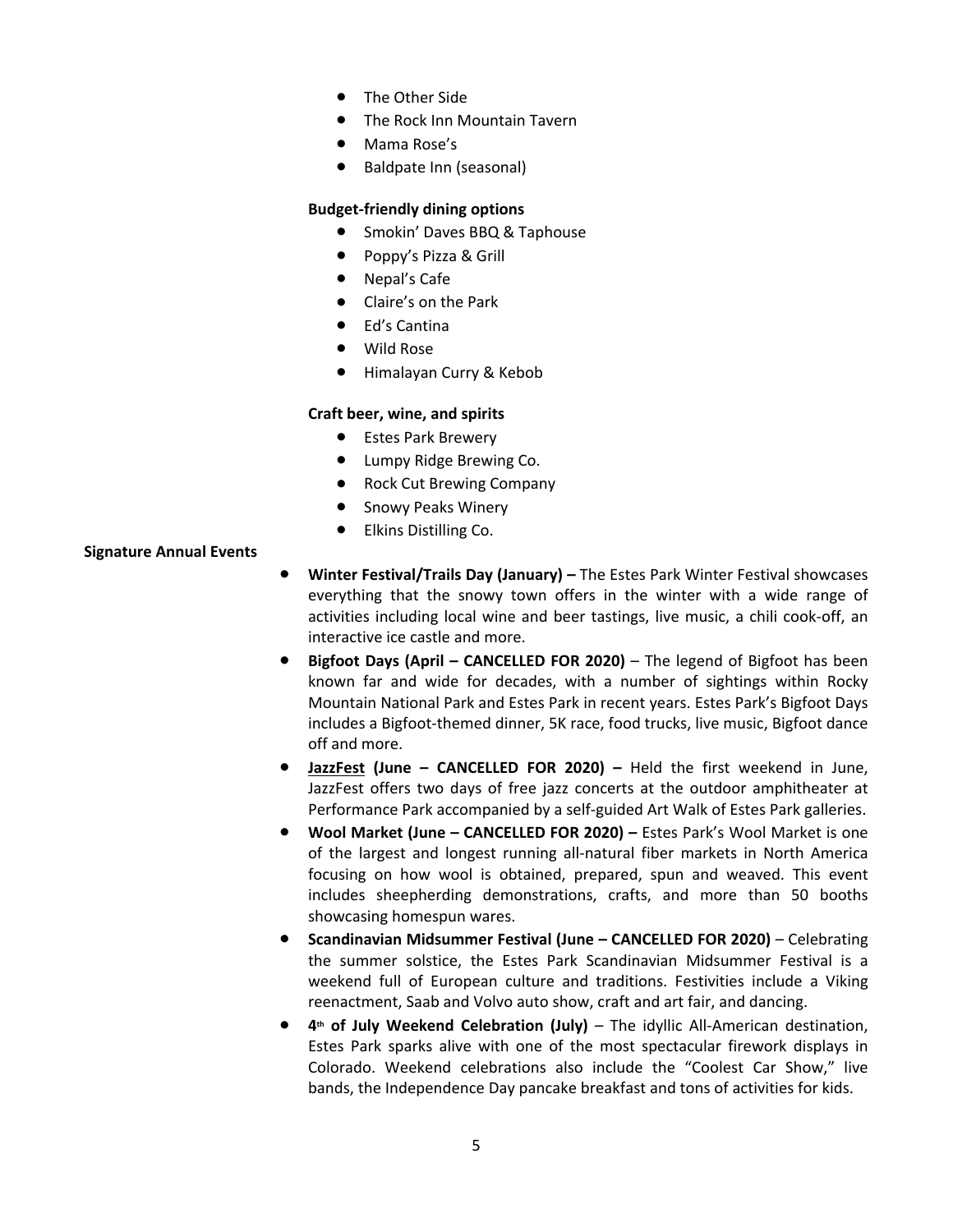- The Other Side
- The Rock Inn Mountain Tavern
- Mama Rose's
- Baldpate Inn (seasonal)

## **Budget-friendly dining options**

- Smokin' Daves BBQ & Taphouse
- Poppy's Pizza & Grill
- Nepal's Cafe
- Claire's on the Park
- **Ed's Cantina**
- **Wild Rose**
- Himalayan Curry & Kebob

# **Craft beer, wine, and spirits**

- Estes Park Brewery
- Lumpy Ridge Brewing Co.
- Rock Cut Brewing Company
- Snowy Peaks Winery
- Elkins Distilling Co.

## **Signature Annual Events**

- **Winter Festival/Trails Day (January)** The Estes Park Winter Festival showcases everything that the snowy town offers in the winter with a wide range of activities including local wine and beer tastings, live music, a chili cook-off, an interactive ice castle and more.
- **Bigfoot Days (April CANCELLED FOR 2020)** The legend of Bigfoot has been known far and wide for decades, with a number of sightings within Rocky Mountain National Park and Estes Park in recent years. Estes Park's Bigfoot Days includes a Bigfoot-themed dinner, 5K race, food trucks, live music, Bigfoot dance off and more.
- **JazzFest (June CANCELLED FOR 2020) –** Held the first weekend in June, JazzFest offers two days of free jazz concerts at the outdoor amphitheater at Performance Park accompanied by a self-guided Art Walk of Estes Park galleries.
- **Wool Market (June CANCELLED FOR 2020) –** Estes Park's Wool Market is one of the largest and longest running all-natural fiber markets in North America focusing on how wool is obtained, prepared, spun and weaved. This event includes sheepherding demonstrations, crafts, and more than 50 booths showcasing homespun wares.
- **Scandinavian Midsummer Festival (June CANCELLED FOR 2020)** Celebrating the summer solstice, the Estes Park Scandinavian Midsummer Festival is a weekend full of European culture and traditions. Festivities include a Viking reenactment, Saab and Volvo auto show, craft and art fair, and dancing.
- **4th of July Weekend Celebration (July)** The idyllic All-American destination, Estes Park sparks alive with one of the most spectacular firework displays in Colorado. Weekend celebrations also include the "Coolest Car Show," live bands, the Independence Day pancake breakfast and tons of activities for kids.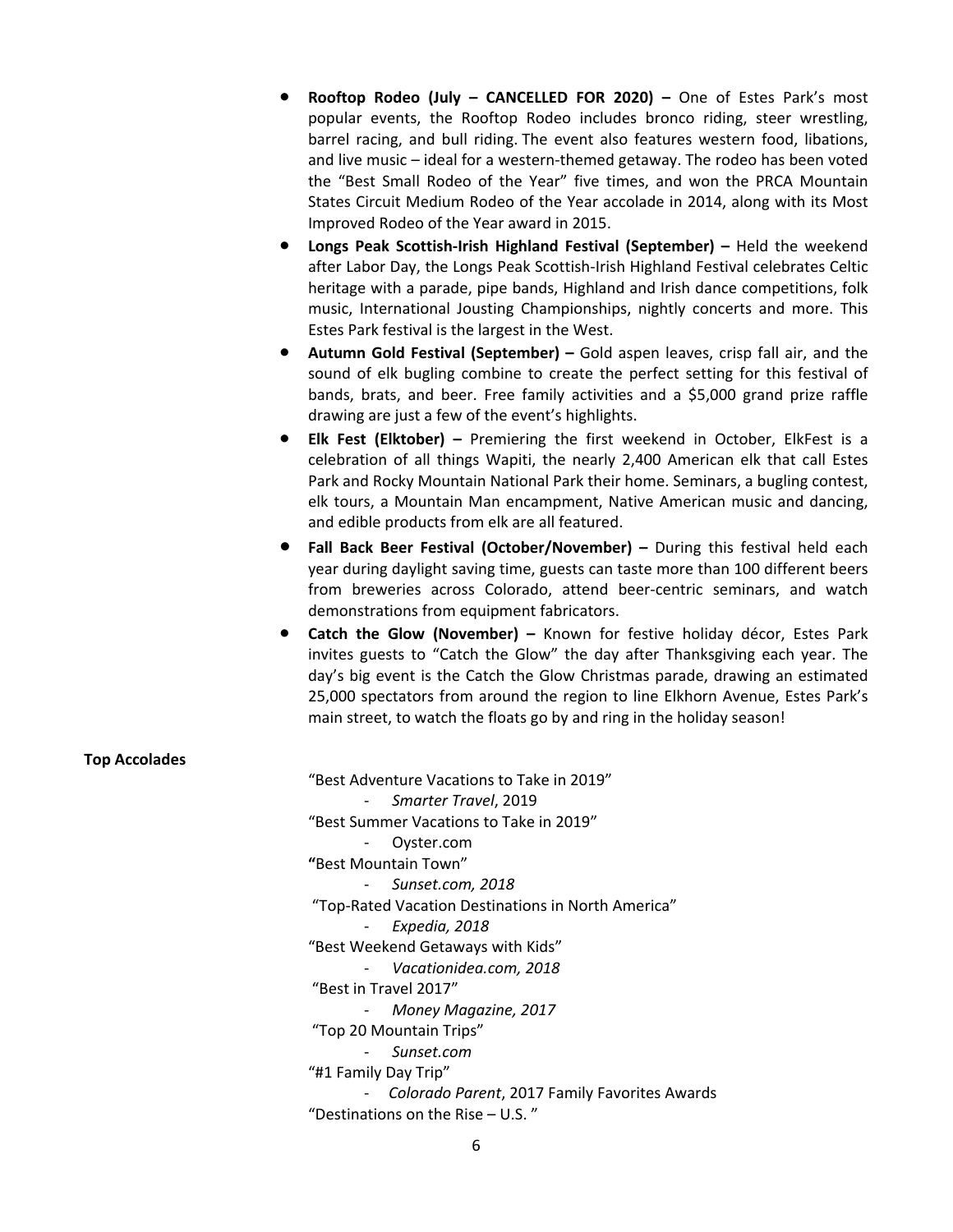- **Rooftop Rodeo (July CANCELLED FOR 2020) –** One of Estes Park's most popular events, the Rooftop Rodeo includes bronco riding, steer wrestling, barrel racing, and bull riding. The event also features western food, libations, and live music – ideal for a western-themed getaway. The rodeo has been voted the "Best Small Rodeo of the Year" five times, and won the PRCA Mountain States Circuit Medium Rodeo of the Year accolade in 2014, along with its Most Improved Rodeo of the Year award in 2015.
- **Longs Peak Scottish-Irish Highland Festival (September)** Held the weekend after Labor Day, the Longs Peak Scottish-Irish Highland Festival celebrates Celtic heritage with a parade, pipe bands, Highland and Irish dance competitions, folk music, International Jousting Championships, nightly concerts and more. This Estes Park festival is the largest in the West.
- **Autumn Gold Festival (September)** Gold aspen leaves, crisp fall air, and the sound of elk bugling combine to create the perfect setting for this festival of bands, brats, and beer. Free family activities and a \$5,000 grand prize raffle drawing are just a few of the event's highlights.
- **Elk Fest (Elktober)** Premiering the first weekend in October, ElkFest is a celebration of all things Wapiti, the nearly 2,400 American elk that call Estes Park and Rocky Mountain National Park their home. Seminars, a bugling contest, elk tours, a Mountain Man encampment, Native American music and dancing, and edible products from elk are all featured.
- **Fall Back Beer Festival (October/November) –** During this festival held each year during daylight saving time, guests can taste more than 100 different beers from breweries across Colorado, attend beer-centric seminars, and watch demonstrations from equipment fabricators.
- **Catch the Glow (November) –** Known for festive holiday décor, Estes Park invites guests to "Catch the Glow" the day after Thanksgiving each year. The day's big event is the Catch the Glow Christmas parade, drawing an estimated 25,000 spectators from around the region to line Elkhorn Avenue, Estes Park's main street, to watch the floats go by and ring in the holiday season!

| <b>Top Accolades</b> |                                                    |
|----------------------|----------------------------------------------------|
|                      | "Best Adventure Vacations to Take in 2019"         |
|                      | Smarter Travel, 2019                               |
|                      | "Best Summer Vacations to Take in 2019"            |
|                      | Oyster.com                                         |
|                      | "Best Mountain Town"                               |
|                      | Sunset.com, 2018                                   |
|                      | "Top-Rated Vacation Destinations in North America" |
|                      | Expedia, 2018                                      |
|                      | "Best Weekend Getaways with Kids"                  |
|                      | Vacationidea.com, 2018                             |
|                      | "Best in Travel 2017"                              |
|                      | Money Magazine, 2017                               |
|                      | "Top 20 Mountain Trips"                            |
|                      | Sunset.com                                         |
|                      | "#1 Family Day Trip"                               |
|                      | Colorado Parent, 2017 Family Favorites Awards      |
|                      | "Destinations on the Rise $-$ U.S."                |